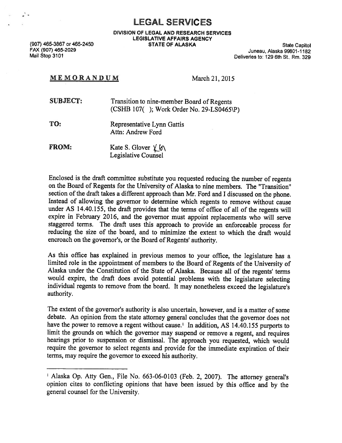LEGAL SERVICES

DIVISION OF LEGAL AND RESEARCH SERVICES LEGISLATIVE AFFAIRS AGENCY

(907) 465-3867 or 465-2450 STATE OF ALASKA State Capitol FAX (907) 465-2029 Juneau, Alaska 99801-1182 Mail Stop 3101 Deliveries to: 129 6th St., Rm. 329

## MEMORANDUM March 21, 2015

| <b>SUBJECT:</b> | Transition to nine-member Board of Regents  |  |
|-----------------|---------------------------------------------|--|
|                 | $(CSHB 107($ ); Work Order No. 29-LS0465\P) |  |

TO: Representative Lynn Gattis Attn: Andrew Ford

FROM: Kate S. Glover  $\chi(\gamma)$ Legislative Counsel

Enclosed is the draft committee substitute you requested reducing the number of regents on the Board of Regents for the University of Alaska to nine members. The "Transition" section of the draft takes <sup>a</sup> different approach than Mr. Ford and <sup>I</sup> discussed on the <sup>p</sup>hone. Instead of allowing the governor to determine which regents to remove without cause under AS 14.40.155, the draft provides that the terms of office of all of the regents will expire in February 2016, and the governor must appoint replacements who will serve staggered terms. The draft uses this approach to provide an enforceable process for reducing the size of the board, and to minimize the extent to which the draft would encroach on the governor's, or the Board of Regents' authority.

As this office has explained in previous memos to your office, the legislature has <sup>a</sup> limited role in the appointment of members to the Board of Regents of the University of Alaska under the Constitution of the State of Alaska. Because all of the regents' terms would expire, the draft does avoid potential problems with the legislature selecting individual regents to remove from the board. It may nonetheless exceed the legislature's authority.

The extent of the governor's authority is also uncertain, however, and is <sup>a</sup> matter of some debate. An opinion from the state attorney general concludes that the governor does not have the power to remove a regent without cause.<sup>1</sup> In addition, AS 14.40.155 purports to limit the grounds on which the governor may suspend or remove <sup>a</sup> regent, and requires hearings prior to suspension or dismissal. The approach you requested, which would require the governor to select regents and provide for the immediate expiration of their terms, may require the governor to exceed his authority.

<sup>&</sup>lt;sup>1</sup> Alaska Op. Atty Gen., File No. 663-06-0103 (Feb. 2, 2007). The attorney general's opinion cites to conflicting opinions that have been issued by this office and by the general counsel for the University.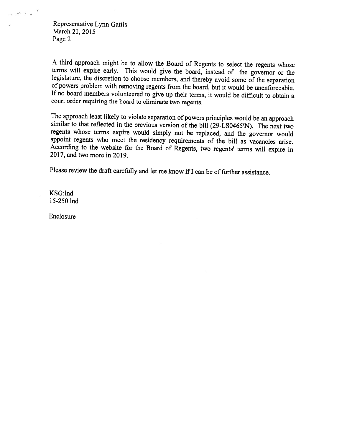Representative Lynn Gattis March 21, 2015 Page 2

 $\sim$  1.4

A third approach might be to allow the Board of Regents to select the regents whose terms will expire early. This would give the board, instead of the governor or the legislature, the discretion to choose members, and thereby avoid some of the separation of powers problem with removing regents from the board, but it would be unenforceable. If no board members volunteered to <sup>g</sup>ive up their terms, it would be difficult to obtain <sup>a</sup> court order requiring the board to eliminate two regents.

The approach least likely to violate separation of powers principles would be an approach similar to that reflected in the previous version of the bill (29-LS0465\N). The next two regents whose terms expire would simply not be replaced, and the governor would appoint regents who meet the residency requirements of the bill as vacancies arise. According to the website for the Board of Regents, two regents' terms will expire in 2017, and two more in 2019.

Please review the draft carefully and let me know if I can be of further assistance.

KSG:lnd 1 5-250.lnd

Enclosure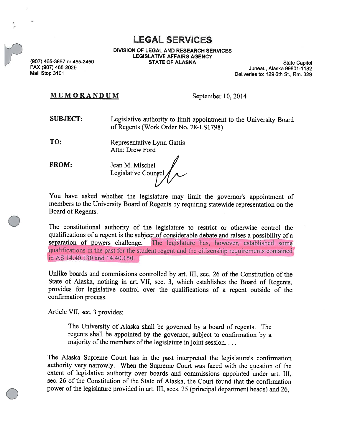LEGAL SERVICES

DIVISION OF LEGAL AND RESEARCH SERVICES LEGISLATIVE AFFAIRS AGENCY

(907) 465-3867 or 465-2450 (907) STATE OF ALASKA State Capitol State Capitol State Capitol State Capitol State Capitol State Capitol State Capitol State Capitol State Capitol State Capitol State Capitol State Capitol State Deliveries to: 129 6th St., Rm. 329

## $M E M O R A N D U M$  September 10, 2014

- SUBJECT: Legislative authority to limit appointment to the University Board of Regents (Work Order No. 28-LS 1798)
- TO: Representative Lynn Gattis Attn: Drew Ford

FROM: Jean M. Mischel Legislative Coungel

You have asked whether the legislature may limit the governor's appointment of members to the University Board of Regents by requiring statewide representation on the Board of Regents.

The constitutional authority of the legislature to restrict or otherwise control the qualifications of <sup>a</sup> regen<sup>t</sup> is the subject of considerable debate and raises <sup>a</sup> possibility of <sup>a</sup> separation of powers challenge. The legislature has, however, established some qualifications in the pas<sup>t</sup> for the student regen<sup>t</sup> and the citizenship requirements contained in AS 14.40.130 and 14.40.150.

Unlike boards and commissions controlled by art. III, sec. <sup>26</sup> of the Constitution of the State of Alaska, nothing in art. VII, sec. 3, which establishes the Board of Regents, provides for legislative control over the qualifications of <sup>a</sup> regen<sup>t</sup> outside of the confirmation process.

Article VII, sec. 3 provides:

The University of Alaska shall be governe<sup>d</sup> by <sup>a</sup> board of regents. The regents shall be appointed by the governor, subject to confirmation by <sup>a</sup> majority of the members of the legislature in joint session.  $\dots$ 

The Alaska Supreme Court has in the pas<sup>t</sup> interpreted the legislature's confirmation authority very narrowly. When the Supreme Court was faced with the question of the extent of legislative authority over boards and commissions appointed under art. III, sec. 26 of the Constitution of the State of Alaska, the Court found that the confirmation power of the legislature provided in art. III, secs. 25 (principal department heads) and 26,